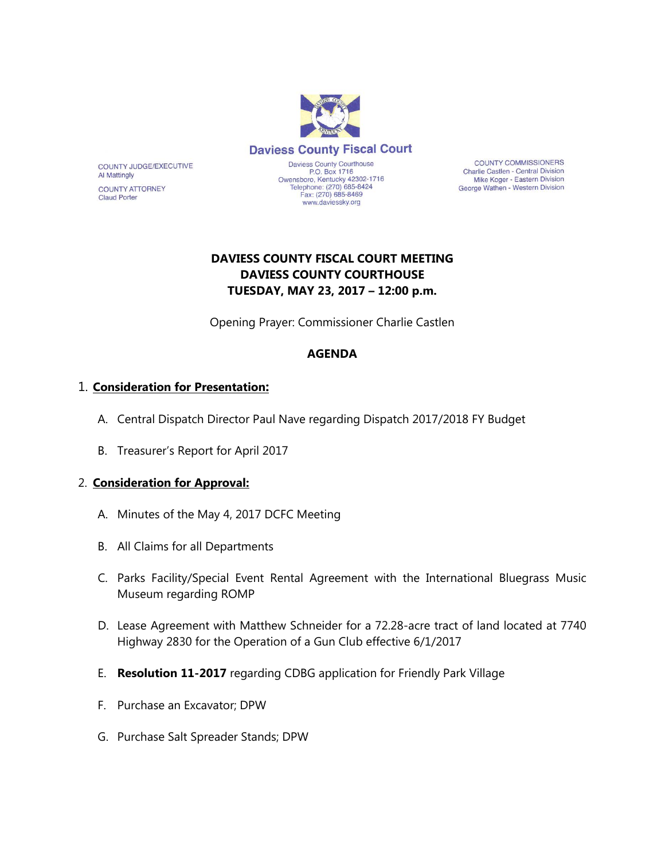

**COUNTY COMMISSIONERS** Charlie Castlen - Central Division Mike Koger - Eastern Division George Wathen - Western Division

# **DAVIESS COUNTY FISCAL COURT MEETING DAVIESS COUNTY COURTHOUSE TUESDAY, MAY 23, 2017 – 12:00 p.m.**

Opening Prayer: Commissioner Charlie Castlen

### **AGENDA**

## 1. **Consideration for Presentation:**

COUNTY JUDGE/EXECUTIVE

**COUNTY ATTORNEY** 

**Al Mattingly** 

**Claud Porter** 

- A. Central Dispatch Director Paul Nave regarding Dispatch 2017/2018 FY Budget
- B. Treasurer's Report for April 2017

### 2. **Consideration for Approval:**

- A. Minutes of the May 4, 2017 DCFC Meeting
- B. All Claims for all Departments
- C. Parks Facility/Special Event Rental Agreement with the International Bluegrass Music Museum regarding ROMP
- D. Lease Agreement with Matthew Schneider for a 72.28-acre tract of land located at 7740 Highway 2830 for the Operation of a Gun Club effective 6/1/2017
- E. **Resolution 11-2017** regarding CDBG application for Friendly Park Village
- F. Purchase an Excavator; DPW
- G. Purchase Salt Spreader Stands; DPW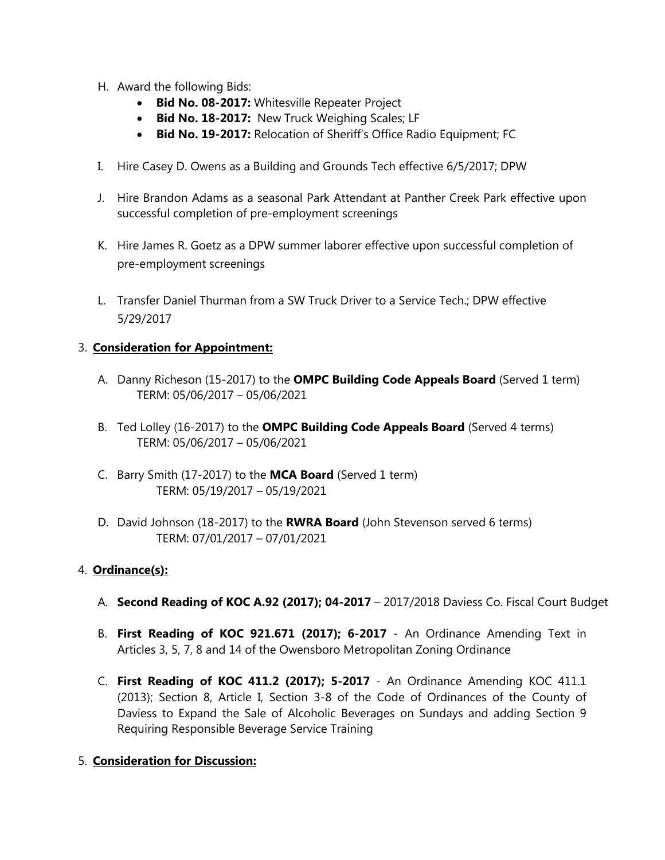- H. Award the following Bids:
	- **Bid No. 08-2017:** Whitesville Repeater Project
	- **Bid No. 18-2017:** New Truck Weighing Scales; LF
	- **Bid No. 19-2017:** Relocation of Sheriff's Office Radio Equipment; FC
- I. Hire Casey D. Owens as a Building and Grounds Tech effective 6/5/2017; DPW
- J. Hire Brandon Adams as a seasonal Park Attendant at Panther Creek Park effective upon successful completion of pre-employment screenings
- K. Hire James R. Goetz as a DPW summer laborer effective upon successful completion of pre-employment screenings
- L. Transfer Daniel Thurman from a SW Truck Driver to a Service Tech.; DPW effective 5/29/2017

### 3. **Consideration for Appointment:**

- A. Danny Richeson (15-2017) to the **OMPC Building Code Appeals Board** (Served 1 term) TERM: 05/06/2017 – 05/06/2021
- B. Ted Lolley (16-2017) to the **OMPC Building Code Appeals Board** (Served 4 terms) TERM: 05/06/2017 – 05/06/2021
- C. Barry Smith (17-2017) to the **MCA Board** (Served 1 term) TERM: 05/19/2017 – 05/19/2021
- D. David Johnson (18-2017) to the **RWRA Board** (John Stevenson served 6 terms) TERM: 07/01/2017 – 07/01/2021

### 4. **Ordinance(s):**

- A. **Second Reading of KOC A.92 (2017); 04-2017** 2017/2018 Daviess Co. Fiscal Court Budget
- B. **First Reading of KOC 921.671 (2017); 6-2017** An Ordinance Amending Text in Articles 3, 5, 7, 8 and 14 of the Owensboro Metropolitan Zoning Ordinance
- C. **First Reading of KOC 411.2 (2017); 5-2017** An Ordinance Amending KOC 411.1 (2013); Section 8, Article I, Section 3-8 of the Code of Ordinances of the County of Daviess to Expand the Sale of Alcoholic Beverages on Sundays and adding Section 9 Requiring Responsible Beverage Service Training
- 5. **Consideration for Discussion:**